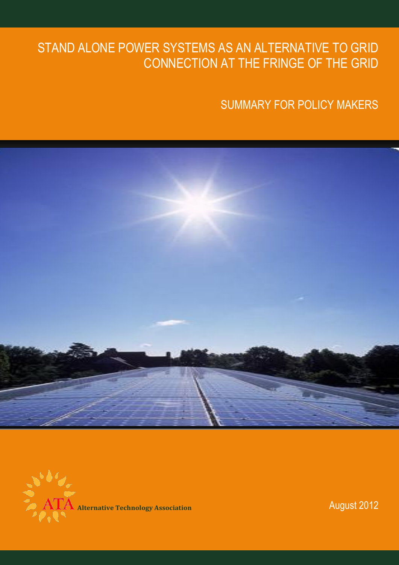# STAND ALONE POWER SYSTEMS AS AN ALTERNATIVE TO GRID CONNECTION AT THE FRINGE OF THE GRID

SUMMARY FOR POLICY MAKERS



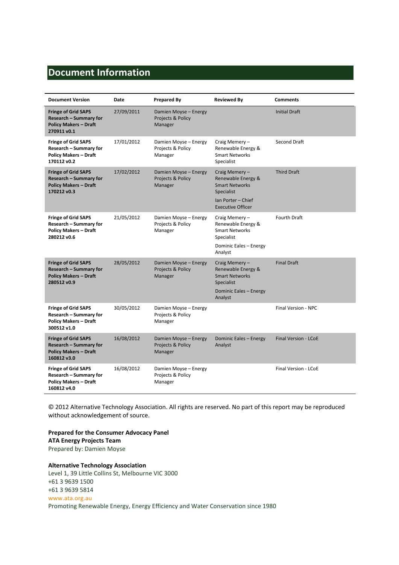# **Document Information**

| <b>Document Version</b>                                                                                    | Date       | <b>Prepared By</b>                                    | <b>Reviewed By</b>                                                                                                           | <b>Comments</b>             |
|------------------------------------------------------------------------------------------------------------|------------|-------------------------------------------------------|------------------------------------------------------------------------------------------------------------------------------|-----------------------------|
| <b>Fringe of Grid SAPS</b><br><b>Research - Summary for</b><br><b>Policy Makers - Draft</b><br>270911 v0.1 | 27/09/2011 | Damien Moyse - Energy<br>Projects & Policy<br>Manager |                                                                                                                              | <b>Initial Draft</b>        |
| <b>Fringe of Grid SAPS</b><br><b>Research - Summary for</b><br><b>Policy Makers - Draft</b><br>170112 v0.2 | 17/01/2012 | Damien Moyse - Energy<br>Projects & Policy<br>Manager | Craig Memery-<br>Renewable Energy &<br><b>Smart Networks</b><br>Specialist                                                   | Second Draft                |
| <b>Fringe of Grid SAPS</b><br><b>Research - Summary for</b><br><b>Policy Makers - Draft</b><br>170212 v0.3 | 17/02/2012 | Damien Moyse - Energy<br>Projects & Policy<br>Manager | Craig Memery-<br>Renewable Energy &<br><b>Smart Networks</b><br>Specialist<br>Ian Porter - Chief<br><b>Executive Officer</b> | <b>Third Draft</b>          |
| <b>Fringe of Grid SAPS</b><br><b>Research - Summary for</b><br><b>Policy Makers - Draft</b><br>280212 v0.6 | 21/05/2012 | Damien Moyse - Energy<br>Projects & Policy<br>Manager | Craig Memery-<br>Renewable Energy &<br><b>Smart Networks</b><br>Specialist<br>Dominic Eales - Energy<br>Analyst              | Fourth Draft                |
| <b>Fringe of Grid SAPS</b><br><b>Research - Summary for</b><br><b>Policy Makers - Draft</b><br>280512 v0.9 | 28/05/2012 | Damien Moyse - Energy<br>Projects & Policy<br>Manager | Craig Memery-<br>Renewable Energy &<br><b>Smart Networks</b><br>Specialist<br>Dominic Eales - Energy<br>Analyst              | <b>Final Draft</b>          |
| <b>Fringe of Grid SAPS</b><br><b>Research - Summary for</b><br><b>Policy Makers - Draft</b><br>300512 v1.0 | 30/05/2012 | Damien Moyse - Energy<br>Projects & Policy<br>Manager |                                                                                                                              | Final Version - NPC         |
| <b>Fringe of Grid SAPS</b><br>Research - Summary for<br><b>Policy Makers - Draft</b><br>160812 v3.0        | 16/08/2012 | Damien Moyse - Energy<br>Projects & Policy<br>Manager | Dominic Eales - Energy<br>Analyst                                                                                            | <b>Final Version - LCoE</b> |
| <b>Fringe of Grid SAPS</b><br>Research - Summary for<br><b>Policy Makers - Draft</b><br>160812 v4.0        | 16/08/2012 | Damien Moyse - Energy<br>Projects & Policy<br>Manager |                                                                                                                              | Final Version - LCoE        |

© 2012 Alternative Technology Association. All rights are reserved. No part of this report may be reproduced without acknowledgement of source.

**Prepared for the Consumer Advocacy Panel ATA Energy Projects Team** Prepared by: Damien Moyse

**Alternative Technology Association** Level 1, 39 Little Collins St, Melbourne VIC 3000

+61 3 9639 1500 +61 3 9639 5814 [www.ata.org.au](file://ataserv02/files/7%20Policy%20and%20Projects/Energy/Reference%20Docs/www.ata.org.au) Promoting Renewable Energy, Energy Efficiency and Water Conservation since 1980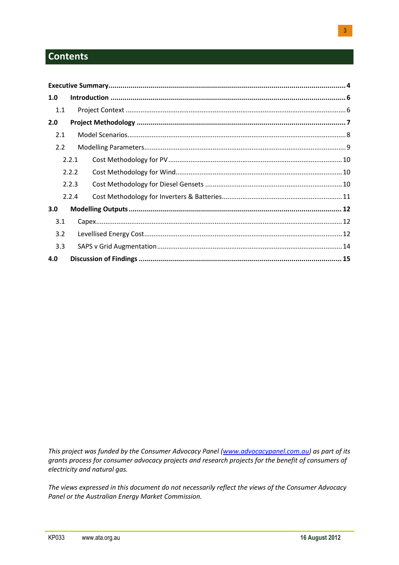# **Contents**

| 1.0 |       |  |
|-----|-------|--|
| 1.1 |       |  |
| 2.0 |       |  |
| 2.1 |       |  |
| 2.2 |       |  |
|     | 2.2.1 |  |
|     | 2.2.2 |  |
|     | 2.2.3 |  |
|     | 2.2.4 |  |
| 3.0 |       |  |
| 3.1 |       |  |
| 3.2 |       |  |
| 3.3 |       |  |
| 4.0 |       |  |

*This project was funded by the Consumer Advocacy Panel [\(www.advocacypanel.com.au\)](http://www.advocacypanel.com.au/) as part of its grants process for consumer advocacy projects and research projects for the benefit of consumers of electricity and natural gas.*

*The views expressed in this document do not necessarily reflect the views of the Consumer Advocacy Panel or the Australian Energy Market Commission.*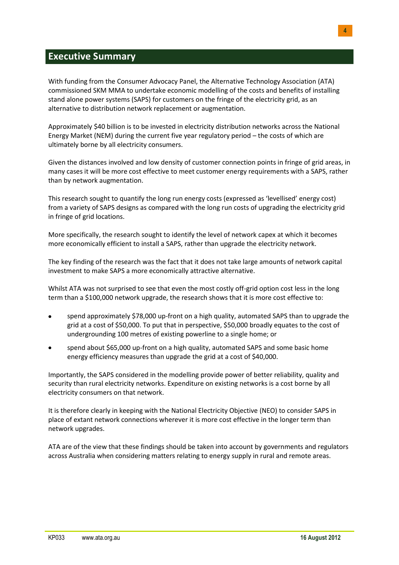# <span id="page-3-0"></span>**Executive Summary**

With funding from the Consumer Advocacy Panel, the Alternative Technology Association (ATA) commissioned SKM MMA to undertake economic modelling of the costs and benefits of installing stand alone power systems (SAPS) for customers on the fringe of the electricity grid, as an alternative to distribution network replacement or augmentation.

Approximately \$40 billion is to be invested in electricity distribution networks across the National Energy Market (NEM) during the current five year regulatory period – the costs of which are ultimately borne by all electricity consumers.

Given the distances involved and low density of customer connection points in fringe of grid areas, in many cases it will be more cost effective to meet customer energy requirements with a SAPS, rather than by network augmentation.

This research sought to quantify the long run energy costs (expressed as 'levellised' energy cost) from a variety of SAPS designs as compared with the long run costs of upgrading the electricity grid in fringe of grid locations.

More specifically, the research sought to identify the level of network capex at which it becomes more economically efficient to install a SAPS, rather than upgrade the electricity network.

The key finding of the research was the fact that it does not take large amounts of network capital investment to make SAPS a more economically attractive alternative.

Whilst ATA was not surprised to see that even the most costly off-grid option cost less in the long term than a \$100,000 network upgrade, the research shows that it is more cost effective to:

- spend approximately \$78,000 up-front on a high quality, automated SAPS than to upgrade the grid at a cost of \$50,000. To put that in perspective, \$50,000 broadly equates to the cost of undergrounding 100 metres of existing powerline to a single home; or
- spend about \$65,000 up-front on a high quality, automated SAPS and some basic home energy efficiency measures than upgrade the grid at a cost of \$40,000.

Importantly, the SAPS considered in the modelling provide power of better reliability, quality and security than rural electricity networks. Expenditure on existing networks is a cost borne by all electricity consumers on that network.

It is therefore clearly in keeping with the National Electricity Objective (NEO) to consider SAPS in place of extant network connections wherever it is more cost effective in the longer term than network upgrades.

ATA are of the view that these findings should be taken into account by governments and regulators across Australia when considering matters relating to energy supply in rural and remote areas.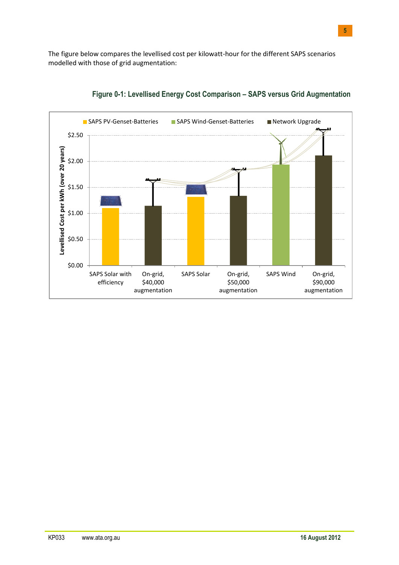The figure below compares the levellised cost per kilowatt-hour for the different SAPS scenarios modelled with those of grid augmentation:



**Figure 0-1: Levellised Energy Cost Comparison – SAPS versus Grid Augmentation**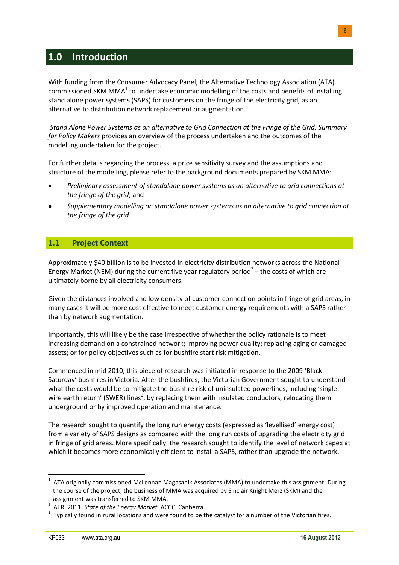# <span id="page-5-0"></span>**1.0 Introduction**

With funding from the Consumer Advocacy Panel, the Alternative Technology Association (ATA) commissioned SKM MMA $^{1}$  to undertake economic modelling of the costs and benefits of installing stand alone power systems (SAPS) for customers on the fringe of the electricity grid, as an alternative to distribution network replacement or augmentation.

*Stand Alone Power Systems as an alternative to Grid Connection at the Fringe of the Grid: Summary for Policy Makers* provides an overview of the process undertaken and the outcomes of the modelling undertaken for the project.

For further details regarding the process, a price sensitivity survey and the assumptions and structure of the modelling, please refer to the background documents prepared by SKM MMA:

- $\bullet$ *Preliminary assessment of standalone power systems as an alternative to grid connections at the fringe of the grid*; and
- *Supplementary modelling on standalone power systems as an alternative to grid connection at the fringe of the grid*.

### <span id="page-5-1"></span>**1.1 Project Context**

Approximately \$40 billion is to be invested in electricity distribution networks across the National Energy Market (NEM) during the current five year regulatory period<sup>2</sup> – the costs of which are ultimately borne by all electricity consumers.

Given the distances involved and low density of customer connection points in fringe of grid areas, in many cases it will be more cost effective to meet customer energy requirements with a SAPS rather than by network augmentation.

Importantly, this will likely be the case irrespective of whether the policy rationale is to meet increasing demand on a constrained network; improving power quality; replacing aging or damaged assets; or for policy objectives such as for bushfire start risk mitigation.

Commenced in mid 2010, this piece of research was initiated in response to the 2009 'Black Saturday' bushfires in Victoria. After the bushfires, the Victorian Government sought to understand what the costs would be to mitigate the bushfire risk of uninsulated powerlines, including 'single wire earth return' (SWER) lines<sup>3</sup>, by replacing them with insulated conductors, relocating them underground or by improved operation and maintenance.

The research sought to quantify the long run energy costs (expressed as 'levellised' energy cost) from a variety of SAPS designs as compared with the long run costs of upgrading the electricity grid in fringe of grid areas. More specifically, the research sought to identify the level of network capex at which it becomes more economically efficient to install a SAPS, rather than upgrade the network.

**<sup>.</sup>**  $1$  ATA originally commissioned McLennan Magasanik Associates (MMA) to undertake this assignment. During the course of the project, the business of MMA was acquired by Sinclair Knight Merz (SKM) and the assignment was transferred to SKM MMA.

<sup>2</sup> AER, 2011. *State of the Energy Market*. ACCC, Canberra.

 $3$  Typically found in rural locations and were found to be the catalyst for a number of the Victorian fires.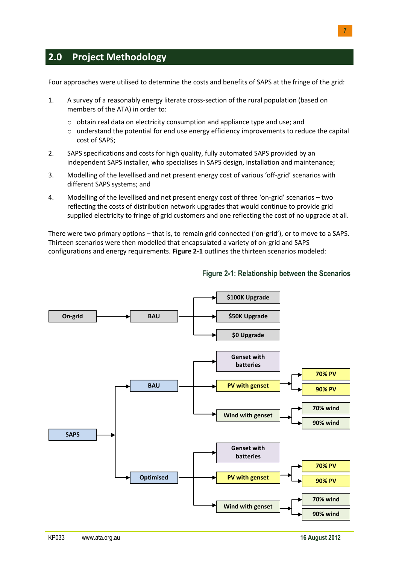# <span id="page-6-0"></span>**2.0 Project Methodology**

Four approaches were utilised to determine the costs and benefits of SAPS at the fringe of the grid:

- 1. A survey of a reasonably energy literate cross-section of the rural population (based on members of the ATA) in order to:
	- $\circ$  obtain real data on electricity consumption and appliance type and use; and
	- o understand the potential for end use energy efficiency improvements to reduce the capital cost of SAPS;
- 2. SAPS specifications and costs for high quality, fully automated SAPS provided by an independent SAPS installer, who specialises in SAPS design, installation and maintenance;
- 3. Modelling of the levellised and net present energy cost of various 'off-grid' scenarios with different SAPS systems; and
- 4. Modelling of the levellised and net present energy cost of three 'on-grid' scenarios two reflecting the costs of distribution network upgrades that would continue to provide grid supplied electricity to fringe of grid customers and one reflecting the cost of no upgrade at all.

There were two primary options – that is, to remain grid connected ('on-grid'), or to move to a SAPS. Thirteen scenarios were then modelled that encapsulated a variety of on-grid and SAPS configurations and energy requirements. **Figure 2-1** outlines the thirteen scenarios modeled:



### **Figure 2-1: Relationship between the Scenarios**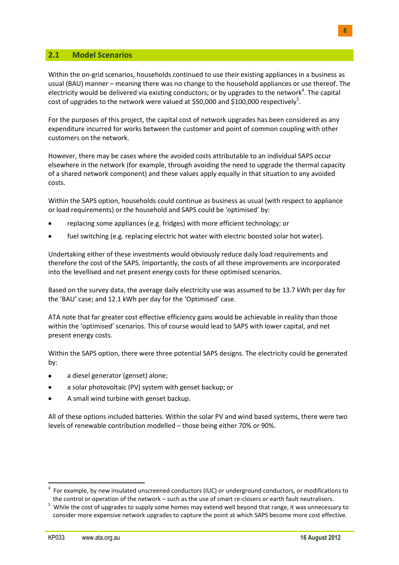### <span id="page-7-0"></span>**2.1 Model Scenarios**

Within the on-grid scenarios, households continued to use their existing appliances in a business as usual (BAU) manner – meaning there was no change to the household appliances or use thereof. The electricity would be delivered via existing conductors; or by upgrades to the network<sup>4</sup>. The capital cost of upgrades to the network were valued at \$50,000 and \$100,000 respectively<sup>5</sup>.

For the purposes of this project, the capital cost of network upgrades has been considered as any expenditure incurred for works between the customer and point of common coupling with other customers on the network.

However, there may be cases where the avoided costs attributable to an individual SAPS occur elsewhere in the network (for example, through avoiding the need to upgrade the thermal capacity of a shared network component) and these values apply equally in that situation to any avoided costs.

Within the SAPS option, households could continue as business as usual (with respect to appliance or load requirements) or the household and SAPS could be 'optimised' by:

- replacing some appliances (e.g. fridges) with more efficient technology; or
- fuel switching (e.g. replacing electric hot water with electric boosted solar hot water).

Undertaking either of these investments would obviously reduce daily load requirements and therefore the cost of the SAPS. Importantly, the costs of all these improvements are incorporated into the levellised and net present energy costs for these optimised scenarios.

Based on the survey data, the average daily electricity use was assumed to be 13.7 kWh per day for the 'BAU' case; and 12.1 kWh per day for the 'Optimised' case.

ATA note that far greater cost effective efficiency gains would be achievable in reality than those within the 'optimised' scenarios. This of course would lead to SAPS with lower capital, and net present energy costs.

Within the SAPS option, there were three potential SAPS designs. The electricity could be generated by:

- a diesel generator (genset) alone;
- a solar photovoltaic (PV) system with genset backup; or
- A small wind turbine with genset backup.

All of these options included batteries. Within the solar PV and wind based systems, there were two levels of renewable contribution modelled – those being either 70% or 90%.

1

<sup>4</sup> For example, by new insulated unscreened conductors (IUC) or underground conductors, or modifications to the control or operation of the network – such as the use of smart re-closers or earth fault neutralisers.

<sup>&</sup>lt;sup>5</sup> While the cost of upgrades to supply some homes may extend well beyond that range, it was unnecessary to consider more expensive network upgrades to capture the point at which SAPS become more cost effective.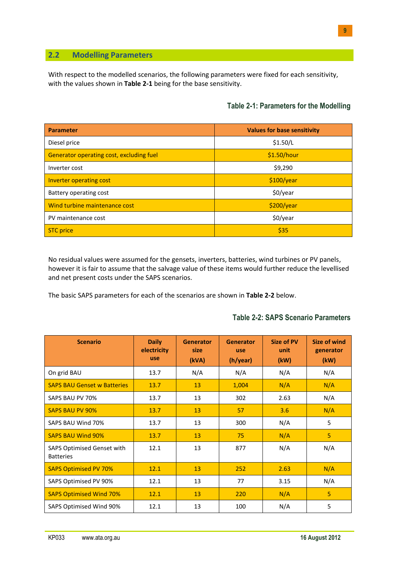### <span id="page-8-0"></span>**2.2 Modelling Parameters**

With respect to the modelled scenarios, the following parameters were fixed for each sensitivity, with the values shown in **Table 2-1** being for the base sensitivity.

### **Table 2-1: Parameters for the Modelling**

| <b>Parameter</b>                         | <b>Values for base sensitivity</b> |
|------------------------------------------|------------------------------------|
| Diesel price                             | \$1.50/L                           |
| Generator operating cost, excluding fuel | \$1.50/hour                        |
| Inverter cost                            | \$9,290                            |
| Inverter operating cost                  | \$100/year                         |
| Battery operating cost                   | \$0/year                           |
| Wind turbine maintenance cost            | \$200/year                         |
| PV maintenance cost                      | \$0/year                           |
| <b>STC</b> price                         | \$35                               |

No residual values were assumed for the gensets, inverters, batteries, wind turbines or PV panels, however it is fair to assume that the salvage value of these items would further reduce the levellised and net present costs under the SAPS scenarios.

The basic SAPS parameters for each of the scenarios are shown in **Table 2-2** below.

| <b>Scenario</b>                                | <b>Daily</b><br>electricity | <b>Generator</b><br>size | <b>Generator</b><br>use | <b>Size of PV</b><br>unit | Size of wind<br>generator |
|------------------------------------------------|-----------------------------|--------------------------|-------------------------|---------------------------|---------------------------|
|                                                | use                         | (kVA)                    | (h/year)                | (kW)                      | (kW)                      |
| On grid BAU                                    | 13.7                        | N/A                      | N/A                     | N/A                       | N/A                       |
| <b>SAPS BAU Genset w Batteries</b>             | 13.7                        | 13                       | 1,004                   | N/A                       | N/A                       |
| SAPS BAU PV 70%                                | 13.7                        | 13                       | 302                     | 2.63                      | N/A                       |
| <b>SAPS BAU PV 90%</b>                         | 13.7                        | 13                       | 57                      | 3.6                       | N/A                       |
| SAPS BAU Wind 70%                              | 13.7                        | 13                       | 300                     | N/A                       | 5                         |
| <b>SAPS BAU Wind 90%</b>                       | 13.7                        | 13                       | 75                      | N/A                       | 5                         |
| SAPS Optimised Genset with<br><b>Batteries</b> | 12.1                        | 13                       | 877                     | N/A                       | N/A                       |
| <b>SAPS Optimised PV 70%</b>                   | 12.1                        | 13                       | 252                     | 2.63                      | N/A                       |
| SAPS Optimised PV 90%                          | 12.1                        | 13                       | 77                      | 3.15                      | N/A                       |
| <b>SAPS Optimised Wind 70%</b>                 | 12.1                        | 13                       | 220                     | N/A                       | 5                         |
| SAPS Optimised Wind 90%                        | 12.1                        | 13                       | 100                     | N/A                       | 5                         |

### **Table 2-2: SAPS Scenario Parameters**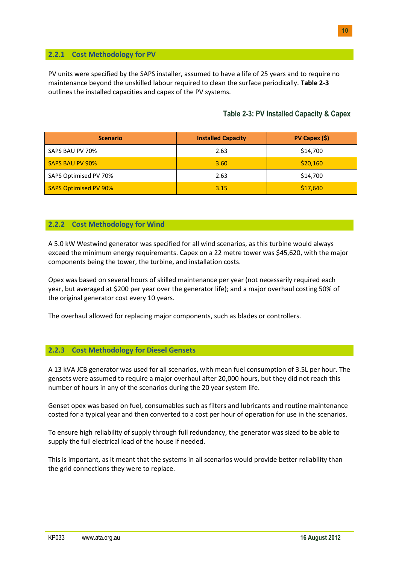### <span id="page-9-0"></span>**2.2.1 Cost Methodology for PV**

PV units were specified by the SAPS installer, assumed to have a life of 25 years and to require no maintenance beyond the unskilled labour required to clean the surface periodically. **Table 2-3** outlines the installed capacities and capex of the PV systems.

# **Table 2-3: PV Installed Capacity & Capex**

| <b>Scenario</b>        | <b>Installed Capacity</b> | $PV$ Capex $(5)$ |
|------------------------|---------------------------|------------------|
| SAPS BAU PV 70%        | 2.63                      | \$14,700         |
| <b>SAPS BAU PV 90%</b> | 3.60                      | \$20,160         |
| SAPS Optimised PV 70%  | 2.63                      | \$14,700         |
| SAPS Optimised PV 90%  | 3.15                      | \$17,640         |

### <span id="page-9-1"></span>**2.2.2 Cost Methodology for Wind**

A 5.0 kW Westwind generator was specified for all wind scenarios, as this turbine would always exceed the minimum energy requirements. Capex on a 22 metre tower was \$45,620, with the major components being the tower, the turbine, and installation costs.

Opex was based on several hours of skilled maintenance per year (not necessarily required each year, but averaged at \$200 per year over the generator life); and a major overhaul costing 50% of the original generator cost every 10 years.

The overhaul allowed for replacing major components, such as blades or controllers.

#### <span id="page-9-2"></span>**2.2.3 Cost Methodology for Diesel Gensets**

A 13 kVA JCB generator was used for all scenarios, with mean fuel consumption of 3.5L per hour. The gensets were assumed to require a major overhaul after 20,000 hours, but they did not reach this number of hours in any of the scenarios during the 20 year system life.

Genset opex was based on fuel, consumables such as filters and lubricants and routine maintenance costed for a typical year and then converted to a cost per hour of operation for use in the scenarios.

To ensure high reliability of supply through full redundancy, the generator was sized to be able to supply the full electrical load of the house if needed.

This is important, as it meant that the systems in all scenarios would provide better reliability than the grid connections they were to replace.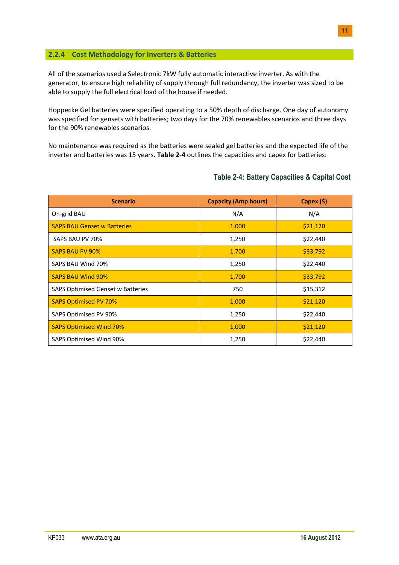### <span id="page-10-0"></span>**2.2.4 Cost Methodology for Inverters & Batteries**

All of the scenarios used a Selectronic 7kW fully automatic interactive inverter. As with the generator, to ensure high reliability of supply through full redundancy, the inverter was sized to be able to supply the full electrical load of the house if needed.

Hoppecke Gel batteries were specified operating to a 50% depth of discharge. One day of autonomy was specified for gensets with batteries; two days for the 70% renewables scenarios and three days for the 90% renewables scenarios.

No maintenance was required as the batteries were sealed gel batteries and the expected life of the inverter and batteries was 15 years. **Table 2-4** outlines the capacities and capex for batteries:

| <b>Scenario</b>                          | <b>Capacity (Amp hours)</b> | Capex (\$) |
|------------------------------------------|-----------------------------|------------|
| On-grid BAU                              | N/A                         | N/A        |
| <b>SAPS BAU Genset w Batteries</b>       | 1,000                       | \$21,120   |
| SAPS BAU PV 70%                          | 1,250                       | \$22,440   |
| <b>SAPS BAU PV 90%</b>                   | 1,700                       | \$33,792   |
| SAPS BAU Wind 70%                        | 1,250                       | \$22,440   |
| <b>SAPS BAU Wind 90%</b>                 | 1,700                       | \$33,792   |
| <b>SAPS Optimised Genset w Batteries</b> | 750                         | \$15,312   |
| <b>SAPS Optimised PV 70%</b>             | 1,000                       | \$21,120   |
| SAPS Optimised PV 90%                    | 1,250                       | \$22,440   |
| <b>SAPS Optimised Wind 70%</b>           | 1,000                       | \$21,120   |
| SAPS Optimised Wind 90%                  | 1,250                       | \$22,440   |

### **Table 2-4: Battery Capacities & Capital Cost**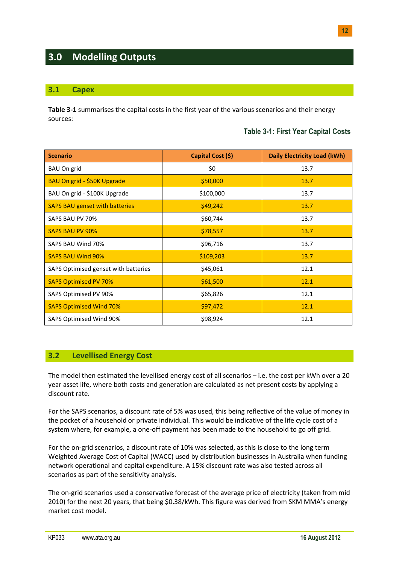# <span id="page-11-0"></span>**3.0 Modelling Outputs**

### <span id="page-11-1"></span>**3.1 Capex**

**Table 3-1** summarises the capital costs in the first year of the various scenarios and their energy sources:

### **Table 3-1: First Year Capital Costs**

| <b>Scenario</b>                       | Capital Cost (\$) | <b>Daily Electricity Load (kWh)</b> |
|---------------------------------------|-------------------|-------------------------------------|
| BAU On grid                           | \$0               | 13.7                                |
| BAU On grid - \$50K Upgrade           | \$50,000          | 13.7                                |
| BAU On grid - \$100K Upgrade          | \$100,000         | 13.7                                |
| <b>SAPS BAU genset with batteries</b> | \$49,242          | 13.7                                |
| SAPS BAU PV 70%                       | \$60,744          | 13.7                                |
| <b>SAPS BAU PV 90%</b>                | \$78,557          | 13.7                                |
| SAPS BAU Wind 70%                     | \$96,716          | 13.7                                |
| <b>SAPS BAU Wind 90%</b>              | \$109,203         | 13.7                                |
| SAPS Optimised genset with batteries  | \$45,061          | 12.1                                |
| <b>SAPS Optimised PV 70%</b>          | \$61,500          | 12.1                                |
| SAPS Optimised PV 90%                 | \$65,826          | 12.1                                |
| <b>SAPS Optimised Wind 70%</b>        | \$97,472          | 12.1                                |
| SAPS Optimised Wind 90%               | \$98,924          | 12.1                                |

#### <span id="page-11-2"></span>**3.2 Levellised Energy Cost**

The model then estimated the levellised energy cost of all scenarios – i.e. the cost per kWh over a 20 year asset life, where both costs and generation are calculated as net present costs by applying a discount rate.

For the SAPS scenarios, a discount rate of 5% was used, this being reflective of the value of money in the pocket of a household or private individual. This would be indicative of the life cycle cost of a system where, for example, a one-off payment has been made to the household to go off grid.

For the on-grid scenarios, a discount rate of 10% was selected, as this is close to the long term Weighted Average Cost of Capital (WACC) used by distribution businesses in Australia when funding network operational and capital expenditure. A 15% discount rate was also tested across all scenarios as part of the sensitivity analysis.

The on-grid scenarios used a conservative forecast of the average price of electricity (taken from mid 2010) for the next 20 years, that being \$0.38/kWh. This figure was derived from SKM MMA's energy market cost model.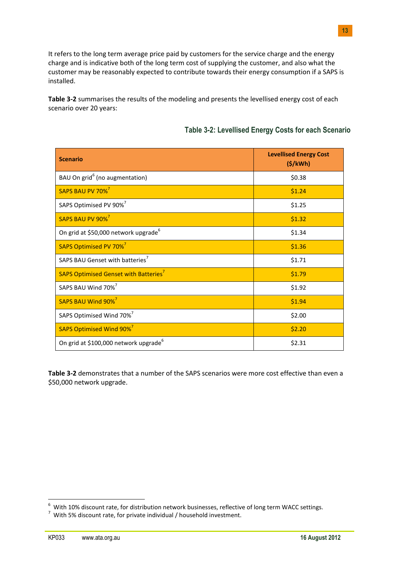It refers to the long term average price paid by customers for the service charge and the energy charge and is indicative both of the long term cost of supplying the customer, and also what the customer may be reasonably expected to contribute towards their energy consumption if a SAPS is installed.

**Table 3-2** summarises the results of the modeling and presents the levellised energy cost of each scenario over 20 years:

| <b>Scenario</b>                                   | <b>Levellised Energy Cost</b><br>(S/KWh) |
|---------------------------------------------------|------------------------------------------|
| BAU On grid <sup>6</sup> (no augmentation)        | \$0.38                                   |
| SAPS BAU PV 70% <sup>7</sup>                      | \$1.24                                   |
| SAPS Optimised PV 90% <sup>7</sup>                | \$1.25                                   |
| SAPS BAU PV 90% <sup>7</sup>                      | \$1.32                                   |
| On grid at \$50,000 network upgrade <sup>6</sup>  | \$1.34                                   |
| SAPS Optimised PV 70% <sup>7</sup>                | \$1.36                                   |
| SAPS BAU Genset with batteries <sup>7</sup>       | \$1.71                                   |
| SAPS Optimised Genset with Batteries <sup>7</sup> | \$1.79                                   |
| SAPS BAU Wind 70% <sup>7</sup>                    | \$1.92                                   |
| SAPS BAU Wind 90% <sup>7</sup>                    | \$1.94                                   |
| SAPS Optimised Wind 70% <sup>7</sup>              | \$2.00                                   |
| SAPS Optimised Wind 90% <sup>7</sup>              | \$2.20                                   |
| On grid at \$100,000 network upgrade <sup>6</sup> | \$2.31                                   |

**Table 3-2** demonstrates that a number of the SAPS scenarios were more cost effective than even a \$50,000 network upgrade.

 6 With 10% discount rate, for distribution network businesses, reflective of long term WACC settings.

 $^7$  With 5% discount rate, for private individual / household investment.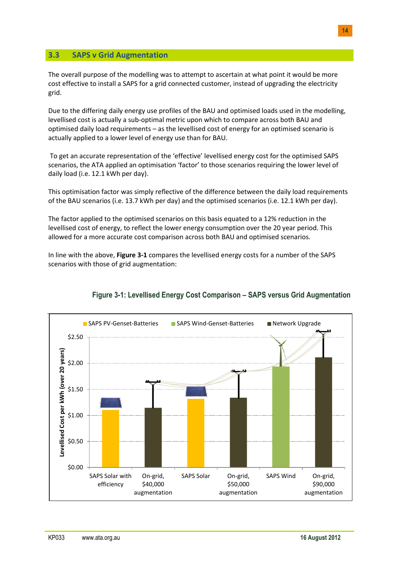### <span id="page-13-0"></span>**3.3 SAPS v Grid Augmentation**

The overall purpose of the modelling was to attempt to ascertain at what point it would be more cost effective to install a SAPS for a grid connected customer, instead of upgrading the electricity grid.

Due to the differing daily energy use profiles of the BAU and optimised loads used in the modelling, levellised cost is actually a sub-optimal metric upon which to compare across both BAU and optimised daily load requirements – as the levellised cost of energy for an optimised scenario is actually applied to a lower level of energy use than for BAU.

To get an accurate representation of the 'effective' levellised energy cost for the optimised SAPS scenarios, the ATA applied an optimisation 'factor' to those scenarios requiring the lower level of daily load (i.e. 12.1 kWh per day).

This optimisation factor was simply reflective of the difference between the daily load requirements of the BAU scenarios (i.e. 13.7 kWh per day) and the optimised scenarios (i.e. 12.1 kWh per day).

The factor applied to the optimised scenarios on this basis equated to a 12% reduction in the levellised cost of energy, to reflect the lower energy consumption over the 20 year period. This allowed for a more accurate cost comparison across both BAU and optimised scenarios.

In line with the above, **Figure 3-1** compares the levellised energy costs for a number of the SAPS scenarios with those of grid augmentation:



### **Figure 3-1: Levellised Energy Cost Comparison – SAPS versus Grid Augmentation**